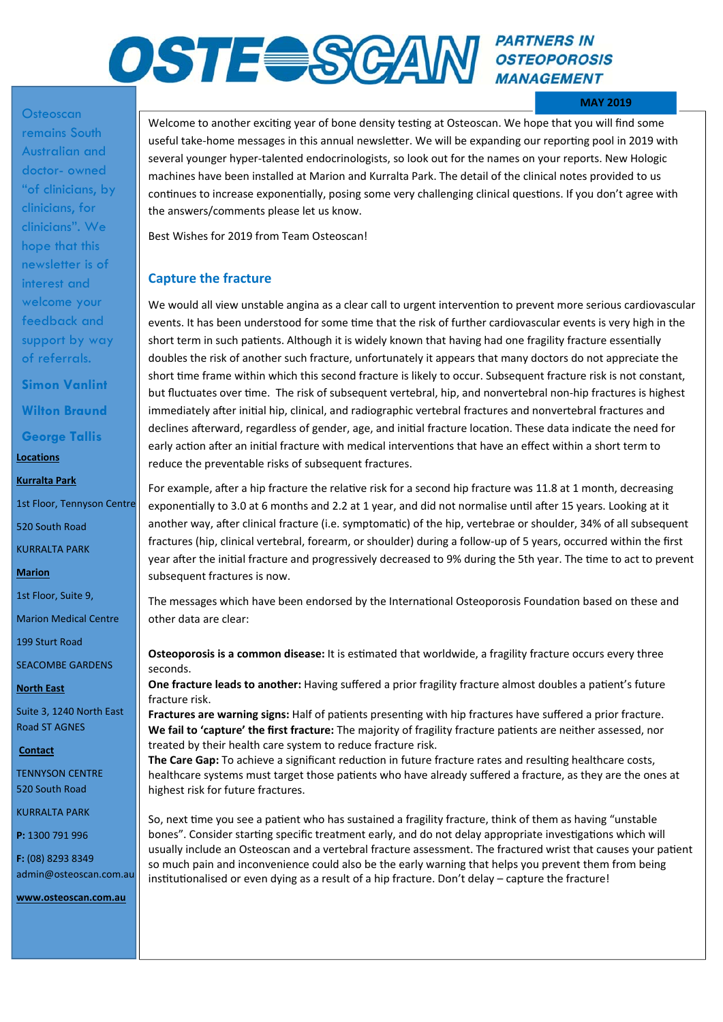## **PARTNERS IN OSTE SGAM** *OSTE OP ARTINERS IN* **MANAGEMENT**

#### **MAY 2019**

# **Osteoscan** remains South

Australian and doctor- owned "of clinicians, by clinicians, for clinicians". We hope that this newsletter is of interest and welcome your feedback and support by way of referrals.

**Simon Vanlint Wilton Braund** 

**George Tallis** 

**Locations** 

**Kurralta Park** 

1st Floor, Tennyson Centre

520 South Road

KURRALTA PARK

**Marion** 

1st Floor, Suite 9,

Marion Medical Centre

199 Sturt Road

SEACOMBE GARDENS

**North East** 

Suite 3, 1240 North East Road ST AGNES

 **Contact** 

TENNYSON CENTRE 520 South Road

KURRALTA PARK

**P:** 1300 791 996

**F:** (08) 8293 8349 admin@osteoscan.com.au

**www.osteoscan.com.au** 

Welcome to another exciting year of bone density testing at Osteoscan. We hope that you will find some useful take-home messages in this annual newsletter. We will be expanding our reporting pool in 2019 with several younger hyper-talented endocrinologists, so look out for the names on your reports. New Hologic machines have been installed at Marion and Kurralta Park. The detail of the clinical notes provided to us continues to increase exponentially, posing some very challenging clinical questions. If you don't agree with the answers/comments please let us know.

Best Wishes for 2019 from Team Osteoscan!

### **Capture the fracture**

We would all view unstable angina as a clear call to urgent intervention to prevent more serious cardiovascular events. It has been understood for some time that the risk of further cardiovascular events is very high in the short term in such patients. Although it is widely known that having had one fragility fracture essentially doubles the risk of another such fracture, unfortunately it appears that many doctors do not appreciate the short time frame within which this second fracture is likely to occur. Subsequent fracture risk is not constant, but fluctuates over time. The risk of subsequent vertebral, hip, and nonvertebral non-hip fractures is highest immediately after initial hip, clinical, and radiographic vertebral fractures and nonvertebral fractures and declines afterward, regardless of gender, age, and initial fracture location. These data indicate the need for early action after an initial fracture with medical interventions that have an effect within a short term to reduce the preventable risks of subsequent fractures.

For example, after a hip fracture the relative risk for a second hip fracture was 11.8 at 1 month, decreasing exponentially to 3.0 at 6 months and 2.2 at 1 year, and did not normalise until after 15 years. Looking at it another way, after clinical fracture (i.e. symptomatic) of the hip, vertebrae or shoulder, 34% of all subsequent fractures (hip, clinical vertebral, forearm, or shoulder) during a follow-up of 5 years, occurred within the first year after the initial fracture and progressively decreased to 9% during the 5th year. The time to act to prevent subsequent fractures is now.

The messages which have been endorsed by the International Osteoporosis Foundation based on these and other data are clear:

**Osteoporosis is a common disease:** It is estimated that worldwide, a fragility fracture occurs every three seconds.

**One fracture leads to another:** Having suffered a prior fragility fracture almost doubles a patient's future fracture risk.

**Fractures are warning signs:** Half of patients presenting with hip fractures have suffered a prior fracture. We fail to 'capture' the first fracture: The majority of fragility fracture patients are neither assessed, nor treated by their health care system to reduce fracture risk.

The Care Gap: To achieve a significant reduction in future fracture rates and resulting healthcare costs, healthcare systems must target those patients who have already suffered a fracture, as they are the ones at highest risk for future fractures.

So, next time you see a patient who has sustained a fragility fracture, think of them as having "unstable bones". Consider starting specific treatment early, and do not delay appropriate investigations which will usually include an Osteoscan and a vertebral fracture assessment. The fractured wrist that causes your patient so much pain and inconvenience could also be the early warning that helps you prevent them from being institutionalised or even dying as a result of a hip fracture. Don't delay – capture the fracture!